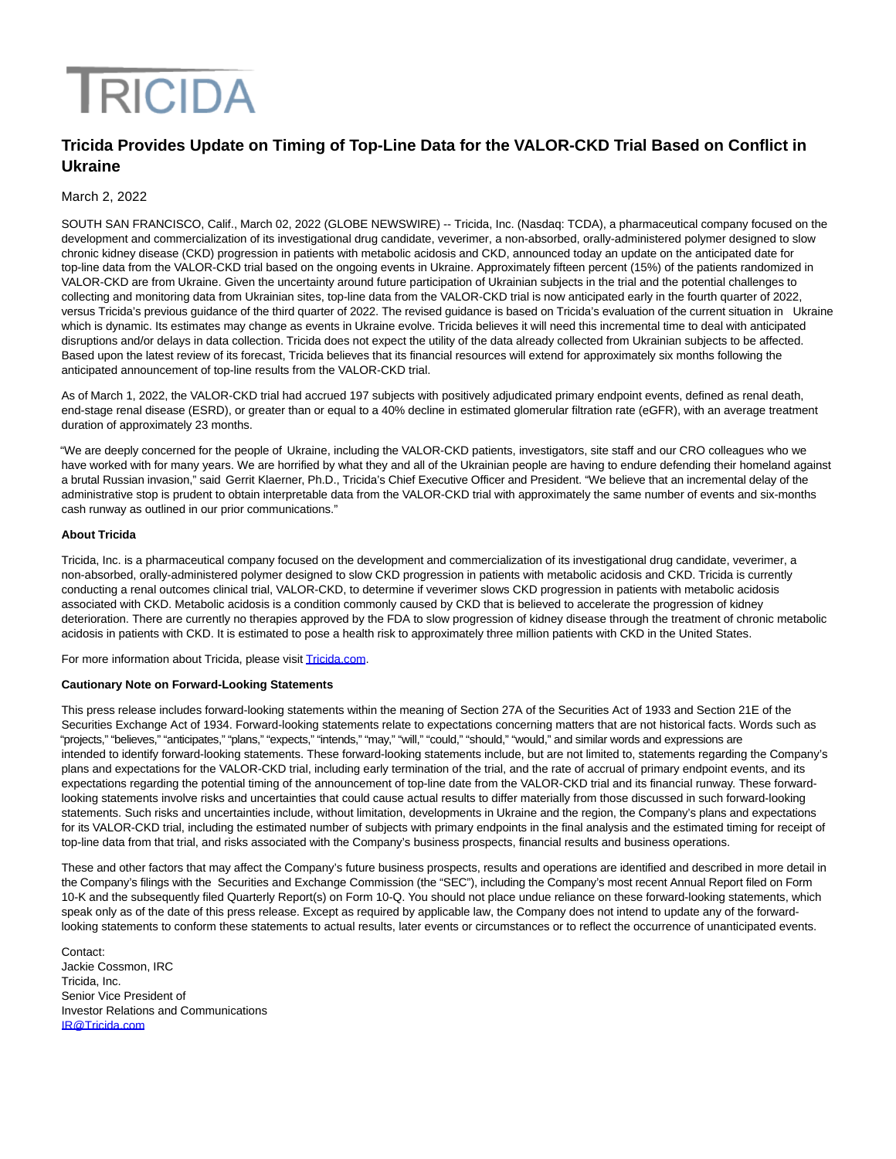# **TRICIDA**

# **Tricida Provides Update on Timing of Top-Line Data for the VALOR-CKD Trial Based on Conflict in Ukraine**

## March 2, 2022

SOUTH SAN FRANCISCO, Calif., March 02, 2022 (GLOBE NEWSWIRE) -- Tricida, Inc. (Nasdaq: TCDA), a pharmaceutical company focused on the development and commercialization of its investigational drug candidate, veverimer, a non-absorbed, orally-administered polymer designed to slow chronic kidney disease (CKD) progression in patients with metabolic acidosis and CKD, announced today an update on the anticipated date for top-line data from the VALOR-CKD trial based on the ongoing events in Ukraine. Approximately fifteen percent (15%) of the patients randomized in VALOR-CKD are from Ukraine. Given the uncertainty around future participation of Ukrainian subjects in the trial and the potential challenges to collecting and monitoring data from Ukrainian sites, top-line data from the VALOR-CKD trial is now anticipated early in the fourth quarter of 2022, versus Tricida's previous guidance of the third quarter of 2022. The revised guidance is based on Tricida's evaluation of the current situation in Ukraine which is dynamic. Its estimates may change as events in Ukraine evolve. Tricida believes it will need this incremental time to deal with anticipated disruptions and/or delays in data collection. Tricida does not expect the utility of the data already collected from Ukrainian subjects to be affected. Based upon the latest review of its forecast, Tricida believes that its financial resources will extend for approximately six months following the anticipated announcement of top-line results from the VALOR-CKD trial.

As of March 1, 2022, the VALOR-CKD trial had accrued 197 subjects with positively adjudicated primary endpoint events, defined as renal death, end-stage renal disease (ESRD), or greater than or equal to a 40% decline in estimated glomerular filtration rate (eGFR), with an average treatment duration of approximately 23 months.

"We are deeply concerned for the people of Ukraine, including the VALOR-CKD patients, investigators, site staff and our CRO colleagues who we have worked with for many years. We are horrified by what they and all of the Ukrainian people are having to endure defending their homeland against a brutal Russian invasion," said Gerrit Klaerner, Ph.D., Tricida's Chief Executive Officer and President. "We believe that an incremental delay of the administrative stop is prudent to obtain interpretable data from the VALOR-CKD trial with approximately the same number of events and six-months cash runway as outlined in our prior communications."

### **About Tricida**

Tricida, Inc. is a pharmaceutical company focused on the development and commercialization of its investigational drug candidate, veverimer, a non-absorbed, orally-administered polymer designed to slow CKD progression in patients with metabolic acidosis and CKD. Tricida is currently conducting a renal outcomes clinical trial, VALOR-CKD, to determine if veverimer slows CKD progression in patients with metabolic acidosis associated with CKD. Metabolic acidosis is a condition commonly caused by CKD that is believed to accelerate the progression of kidney deterioration. There are currently no therapies approved by the FDA to slow progression of kidney disease through the treatment of chronic metabolic acidosis in patients with CKD. It is estimated to pose a health risk to approximately three million patients with CKD in the United States.

For more information about Tricida, please visi[t Tricida.com.](https://www.globenewswire.com/Tracker?data=eaMr6FtdLQxy244VNwODzVxvbfjX9de4uN8oWdij7WPh6F4M_cfHCv3UTny3gYz_2Xvooq_hoE0W6gwS6ibTXg==)

### **Cautionary Note on Forward-Looking Statements**

This press release includes forward-looking statements within the meaning of Section 27A of the Securities Act of 1933 and Section 21E of the Securities Exchange Act of 1934. Forward-looking statements relate to expectations concerning matters that are not historical facts. Words such as "projects," "believes," "anticipates," "plans," "expects," "intends," "may," "will," "could," "should," "would," and similar words and expressions are intended to identify forward-looking statements. These forward-looking statements include, but are not limited to, statements regarding the Company's plans and expectations for the VALOR-CKD trial, including early termination of the trial, and the rate of accrual of primary endpoint events, and its expectations regarding the potential timing of the announcement of top-line date from the VALOR-CKD trial and its financial runway. These forwardlooking statements involve risks and uncertainties that could cause actual results to differ materially from those discussed in such forward-looking statements. Such risks and uncertainties include, without limitation, developments in Ukraine and the region, the Company's plans and expectations for its VALOR-CKD trial, including the estimated number of subjects with primary endpoints in the final analysis and the estimated timing for receipt of top-line data from that trial, and risks associated with the Company's business prospects, financial results and business operations.

These and other factors that may affect the Company's future business prospects, results and operations are identified and described in more detail in the Company's filings with the Securities and Exchange Commission (the "SEC"), including the Company's most recent Annual Report filed on Form 10-K and the subsequently filed Quarterly Report(s) on Form 10-Q. You should not place undue reliance on these forward-looking statements, which speak only as of the date of this press release. Except as required by applicable law, the Company does not intend to update any of the forwardlooking statements to conform these statements to actual results, later events or circumstances or to reflect the occurrence of unanticipated events.

Contact: Jackie Cossmon, IRC Tricida, Inc. Senior Vice President of Investor Relations and Communications [IR@Tricida.com](mailto:IR@Tricida.com)